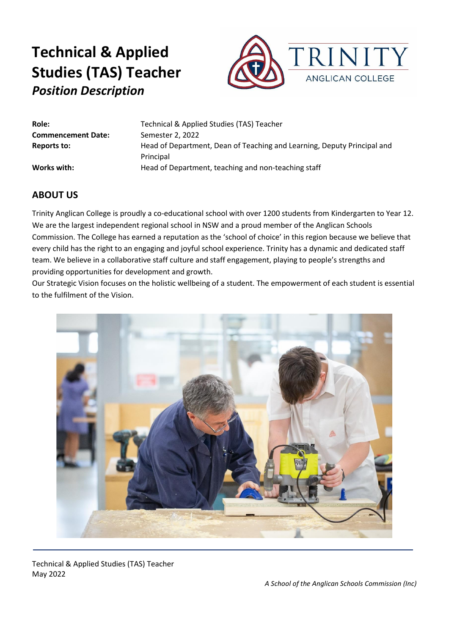

| Role:                     | Technical & Applied Studies (TAS) Teacher                               |
|---------------------------|-------------------------------------------------------------------------|
| <b>Commencement Date:</b> | Semester 2, 2022                                                        |
| <b>Reports to:</b>        | Head of Department, Dean of Teaching and Learning, Deputy Principal and |
|                           | Principal                                                               |
| Works with:               | Head of Department, teaching and non-teaching staff                     |
|                           |                                                                         |

### **ABOUT US**

Trinity Anglican College is proudly a co-educational school with over 1200 students from Kindergarten to Year 12. We are the largest independent regional school in NSW and a proud member of the Anglican Schools Commission. The College has earned a reputation as the 'school of choice' in this region because we believe that every child has the right to an engaging and joyful school experience. Trinity has a dynamic and dedicated staff team. We believe in a collaborative staff culture and staff engagement, playing to people's strengths and providing opportunities for development and growth.

Our Strategic Vision focuses on the holistic wellbeing of a student. The empowerment of each student is essential to the fulfilment of the Vision.



Technical & Applied Studies (TAS) Teacher May 2022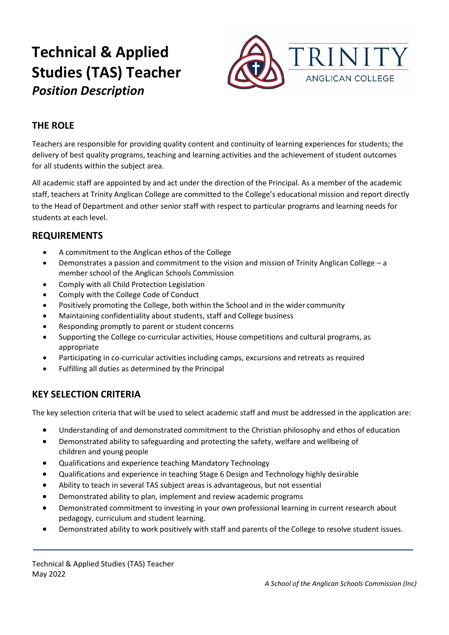

## **THE ROLE**

Teachers are responsible for providing quality content and continuity of learning experiences for students; the delivery of best quality programs, teaching and learning activities and the achievement of student outcomes for all students within the subject area.

All academic staff are appointed by and act under the direction of the Principal. As a member of the academic staff, teachers at Trinity Anglican College are committed to the College's educational mission and report directly to the Head of Department and other senior staff with respect to particular programs and learning needs for students at each level.

### **REQUIREMENTS**

- A commitment to the Anglican ethos of the College
- Demonstrates a passion and commitment to the vision and mission of Trinity Anglican College a member school of the Anglican Schools Commission
- Comply with all Child Protection Legislation
- Comply with the College Code of Conduct
- Positively promoting the College, both within the School and in the wider community
- Maintaining confidentiality about students, staff and College business
- Responding promptly to parent or student concerns
- Supporting the College co-curricular activities, House competitions and cultural programs, as appropriate
- Participating in co-curricular activities including camps, excursions and retreats as required
- Fulfilling all duties as determined by the Principal

### **KEY SELECTION CRITERIA**

The key selection criteria that will be used to select academic staff and must be addressed in the application are:

- Understanding of and demonstrated commitment to the Christian philosophy and ethos of education
- Demonstrated ability to safeguarding and protecting the safety, welfare and wellbeing of children and young people
- Qualifications and experience teaching Mandatory Technology
- Qualifications and experience in teaching Stage 6 Design and Technology highly desirable
- Ability to teach in several TAS subject areas is advantageous, but not essential
- Demonstrated ability to plan, implement and review academic programs
- Demonstrated commitment to investing in your own professional learning in current research about pedagogy, curriculum and student learning.
- Demonstrated ability to work positively with staff and parents of the College to resolve student issues.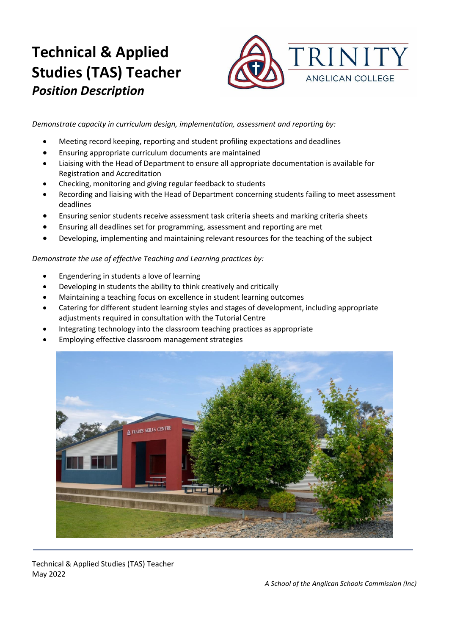

*Demonstrate capacity in curriculum design, implementation, assessment and reporting by:*

- Meeting record keeping, reporting and student profiling expectations and deadlines
- Ensuring appropriate curriculum documents are maintained
- Liaising with the Head of Department to ensure all appropriate documentation is available for Registration and Accreditation
- Checking, monitoring and giving regular feedback to students
- Recording and liaising with the Head of Department concerning students failing to meet assessment deadlines
- Ensuring senior students receive assessment task criteria sheets and marking criteria sheets
- Ensuring all deadlines set for programming, assessment and reporting are met
- Developing, implementing and maintaining relevant resources for the teaching of the subject

#### *Demonstrate the use of effective Teaching and Learning practices by:*

- Engendering in students a love of learning
- Developing in students the ability to think creatively and critically
- Maintaining a teaching focus on excellence in student learning outcomes
- Catering for different student learning styles and stages of development, including appropriate adjustments required in consultation with the Tutorial Centre
- Integrating technology into the classroom teaching practices as appropriate
- Employing effective classroom management strategies



Technical & Applied Studies (TAS) Teacher May 2022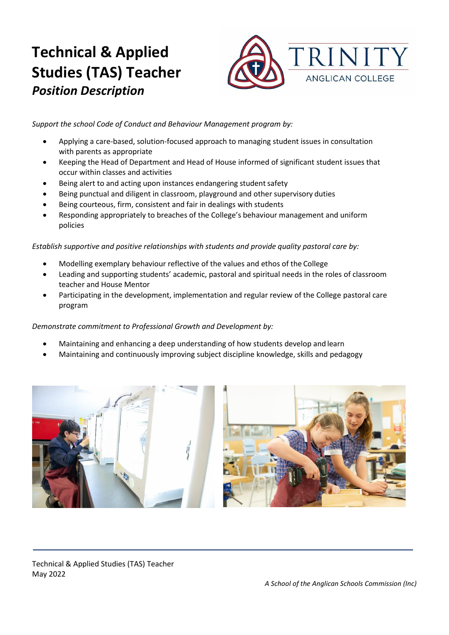

*Support the school Code of Conduct and Behaviour Management program by:*

- Applying a care-based, solution-focused approach to managing student issues in consultation with parents as appropriate
- Keeping the Head of Department and Head of House informed of significant student issues that occur within classes and activities
- Being alert to and acting upon instances endangering student safety
- Being punctual and diligent in classroom, playground and other supervisory duties
- Being courteous, firm, consistent and fair in dealings with students
- Responding appropriately to breaches of the College's behaviour management and uniform policies

*Establish supportive and positive relationships with students and provide quality pastoral care by:*

- Modelling exemplary behaviour reflective of the values and ethos of the College
- Leading and supporting students' academic, pastoral and spiritual needs in the roles of classroom teacher and House Mentor
- Participating in the development, implementation and regular review of the College pastoral care program

#### *Demonstrate commitment to Professional Growth and Development by:*

- Maintaining and enhancing a deep understanding of how students develop and learn
- Maintaining and continuously improving subject discipline knowledge, skills and pedagogy



Technical & Applied Studies (TAS) Teacher May 2022